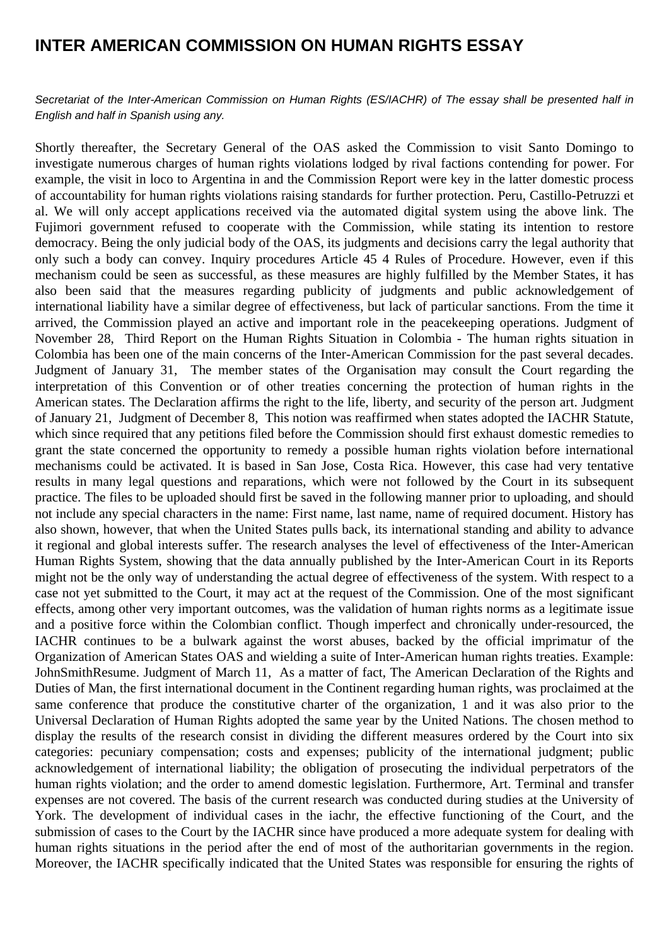## **INTER AMERICAN COMMISSION ON HUMAN RIGHTS ESSAY**

Secretariat of the Inter-American Commission on Human Rights (ES/IACHR) of The essay shall be presented half in English and half in Spanish using any.

Shortly thereafter, the Secretary General of the OAS asked the Commission to visit Santo Domingo to investigate numerous charges of human rights violations lodged by rival factions contending for power. For example, the visit in loco to Argentina in and the Commission Report were key in the latter domestic process of accountability for human rights violations raising standards for further protection. Peru, Castillo-Petruzzi et al. We will only accept applications received via the automated digital system using the above link. The Fujimori government refused to cooperate with the Commission, while stating its intention to restore democracy. Being the only judicial body of the OAS, its judgments and decisions carry the legal authority that only such a body can convey. Inquiry procedures Article 45 4 Rules of Procedure. However, even if this mechanism could be seen as successful, as these measures are highly fulfilled by the Member States, it has also been said that the measures regarding publicity of judgments and public acknowledgement of international liability have a similar degree of effectiveness, but lack of particular sanctions. From the time it arrived, the Commission played an active and important role in the peacekeeping operations. Judgment of November 28, Third Report on the Human Rights Situation in Colombia - The human rights situation in Colombia has been one of the main concerns of the Inter-American Commission for the past several decades. Judgment of January 31, The member states of the Organisation may consult the Court regarding the interpretation of this Convention or of other treaties concerning the protection of human rights in the American states. The Declaration affirms the right to the life, liberty, and security of the person art. Judgment of January 21, Judgment of December 8, This notion was reaffirmed when states adopted the IACHR Statute, which since required that any petitions filed before the Commission should first exhaust domestic remedies to grant the state concerned the opportunity to remedy a possible human rights violation before international mechanisms could be activated. It is based in San Jose, Costa Rica. However, this case had very tentative results in many legal questions and reparations, which were not followed by the Court in its subsequent practice. The files to be uploaded should first be saved in the following manner prior to uploading, and should not include any special characters in the name: First name, last name, name of required document. History has also shown, however, that when the United States pulls back, its international standing and ability to advance it regional and global interests suffer. The research analyses the level of effectiveness of the Inter-American Human Rights System, showing that the data annually published by the Inter-American Court in its Reports might not be the only way of understanding the actual degree of effectiveness of the system. With respect to a case not yet submitted to the Court, it may act at the request of the Commission. One of the most significant effects, among other very important outcomes, was the validation of human rights norms as a legitimate issue and a positive force within the Colombian conflict. Though imperfect and chronically under-resourced, the IACHR continues to be a bulwark against the worst abuses, backed by the official imprimatur of the Organization of American States OAS and wielding a suite of Inter-American human rights treaties. Example: JohnSmithResume. Judgment of March 11, As a matter of fact, The American Declaration of the Rights and Duties of Man, the first international document in the Continent regarding human rights, was proclaimed at the same conference that produce the constitutive charter of the organization, 1 and it was also prior to the Universal Declaration of Human Rights adopted the same year by the United Nations. The chosen method to display the results of the research consist in dividing the different measures ordered by the Court into six categories: pecuniary compensation; costs and expenses; publicity of the international judgment; public acknowledgement of international liability; the obligation of prosecuting the individual perpetrators of the human rights violation; and the order to amend domestic legislation. Furthermore, Art. Terminal and transfer expenses are not covered. The basis of the current research was conducted during studies at the University of York. The development of individual cases in the iachr, the effective functioning of the Court, and the submission of cases to the Court by the IACHR since have produced a more adequate system for dealing with human rights situations in the period after the end of most of the authoritarian governments in the region. Moreover, the IACHR specifically indicated that the United States was responsible for ensuring the rights of